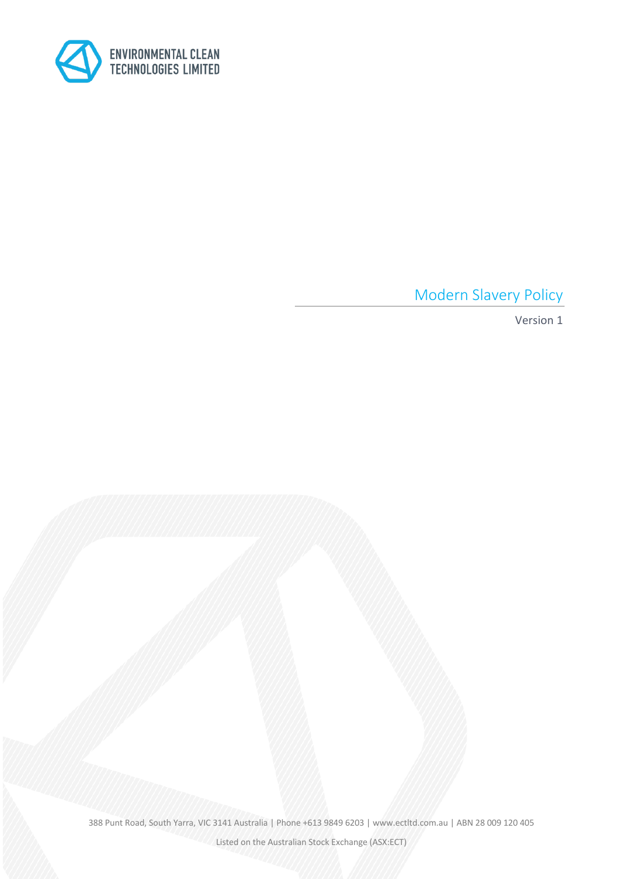

Modern Slavery Policy

Version 1

388 Punt Road, South Yarra, VIC 3141 Australia | Phone +613 9849 6203 | www.ectltd.com.au | ABN 28 009 120 405

Listed on the Australian Stock Exchange (ASX:ECT)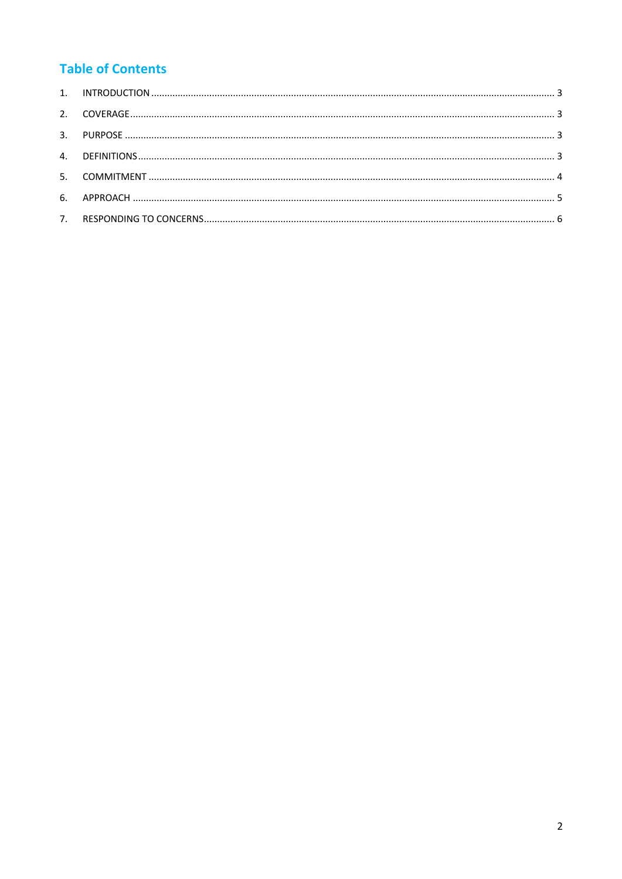# **Table of Contents**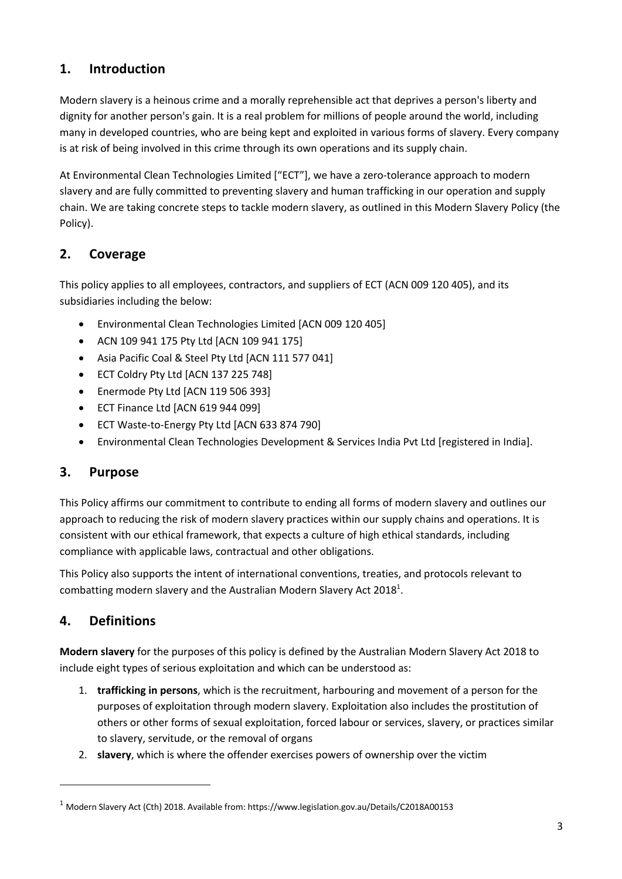# **1. Introduction**

Modern slavery is a heinous crime and a morally reprehensible act that deprives a person's liberty and dignity for another person's gain. It is a real problem for millions of people around the world, including many in developed countries, who are being kept and exploited in various forms of slavery. Every company is at risk of being involved in this crime through its own operations and its supply chain.

At Environmental Clean Technologies Limited ["ECT"], we have a zero-tolerance approach to modern slavery and are fully committed to preventing slavery and human trafficking in our operation and supply chain. We are taking concrete steps to tackle modern slavery, as outlined in this Modern Slavery Policy (the Policy).

# **2. Coverage**

This policy applies to all employees, contractors, and suppliers of ECT (ACN 009 120 405), and its subsidiaries including the below:

- Environmental Clean Technologies Limited [ACN 009 120 405]
- ACN 109 941 175 Pty Ltd [ACN 109 941 175]
- Asia Pacific Coal & Steel Pty Ltd [ACN 111 577 041]
- ECT Coldry Pty Ltd [ACN 137 225 748]
- Enermode Pty Ltd [ACN 119 506 393]
- ECT Finance Ltd [ACN 619 944 099]
- ECT Waste-to-Energy Pty Ltd [ACN 633 874 790]
- Environmental Clean Technologies Development & Services India Pvt Ltd [registered in India].

### **3. Purpose**

This Policy affirms our commitment to contribute to ending all forms of modern slavery and outlines our approach to reducing the risk of modern slavery practices within our supply chains and operations. It is consistent with our ethical framework, that expects a culture of high ethical standards, including compliance with applicable laws, contractual and other obligations.

This Policy also supports the intent of international conventions, treaties, and protocols relevant to combatting modern slavery and the Australian Modern Slavery Act 2018<sup>1</sup>.

# **4. Definitions**

**Modern slavery** for the purposes of this policy is defined by the Australian Modern Slavery Act 2018 to include eight types of serious exploitation and which can be understood as:

- 1. **trafficking in persons**, which is the recruitment, harbouring and movement of a person for the purposes of exploitation through modern slavery. Exploitation also includes the prostitution of others or other forms of sexual exploitation, forced labour or services, slavery, or practices similar to slavery, servitude, or the removal of organs
- 2. **slavery**, which is where the offender exercises powers of ownership over the victim

<sup>1</sup> Modern Slavery Act (Cth) 2018. Available from: https://www.legislation.gov.au/Details/C2018A00153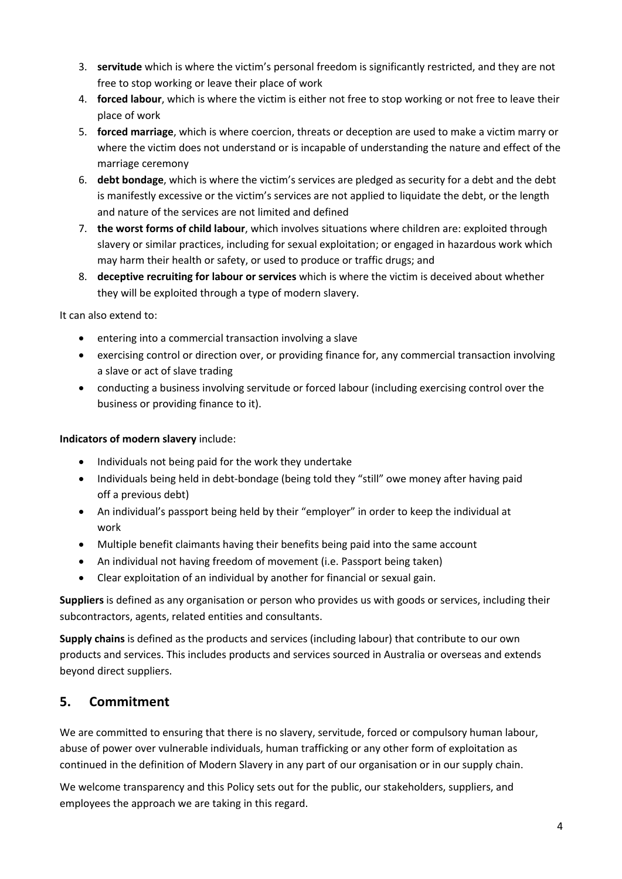- 3. **servitude** which is where the victim's personal freedom is significantly restricted, and they are not free to stop working or leave their place of work
- 4. **forced labour**, which is where the victim is either not free to stop working or not free to leave their place of work
- 5. **forced marriage**, which is where coercion, threats or deception are used to make a victim marry or where the victim does not understand or is incapable of understanding the nature and effect of the marriage ceremony
- 6. **debt bondage**, which is where the victim's services are pledged as security for a debt and the debt is manifestly excessive or the victim's services are not applied to liquidate the debt, or the length and nature of the services are not limited and defined
- 7. **the worst forms of child labour**, which involves situations where children are: exploited through slavery or similar practices, including for sexual exploitation; or engaged in hazardous work which may harm their health or safety, or used to produce or traffic drugs; and
- 8. **deceptive recruiting for labour or services** which is where the victim is deceived about whether they will be exploited through a type of modern slavery.

It can also extend to:

- entering into a commercial transaction involving a slave
- exercising control or direction over, or providing finance for, any commercial transaction involving a slave or act of slave trading
- conducting a business involving servitude or forced labour (including exercising control over the business or providing finance to it).

#### **Indicators of modern slavery** include:

- Individuals not being paid for the work they undertake
- Individuals being held in debt-bondage (being told they "still" owe money after having paid off a previous debt)
- An individual's passport being held by their "employer" in order to keep the individual at work
- Multiple benefit claimants having their benefits being paid into the same account
- An individual not having freedom of movement (i.e. Passport being taken)
- Clear exploitation of an individual by another for financial or sexual gain.

**Suppliers** is defined as any organisation or person who provides us with goods or services, including their subcontractors, agents, related entities and consultants.

**Supply chains** is defined as the products and services (including labour) that contribute to our own products and services. This includes products and services sourced in Australia or overseas and extends beyond direct suppliers.

### **5. Commitment**

We are committed to ensuring that there is no slavery, servitude, forced or compulsory human labour, abuse of power over vulnerable individuals, human trafficking or any other form of exploitation as continued in the definition of Modern Slavery in any part of our organisation or in our supply chain.

We welcome transparency and this Policy sets out for the public, our stakeholders, suppliers, and employees the approach we are taking in this regard.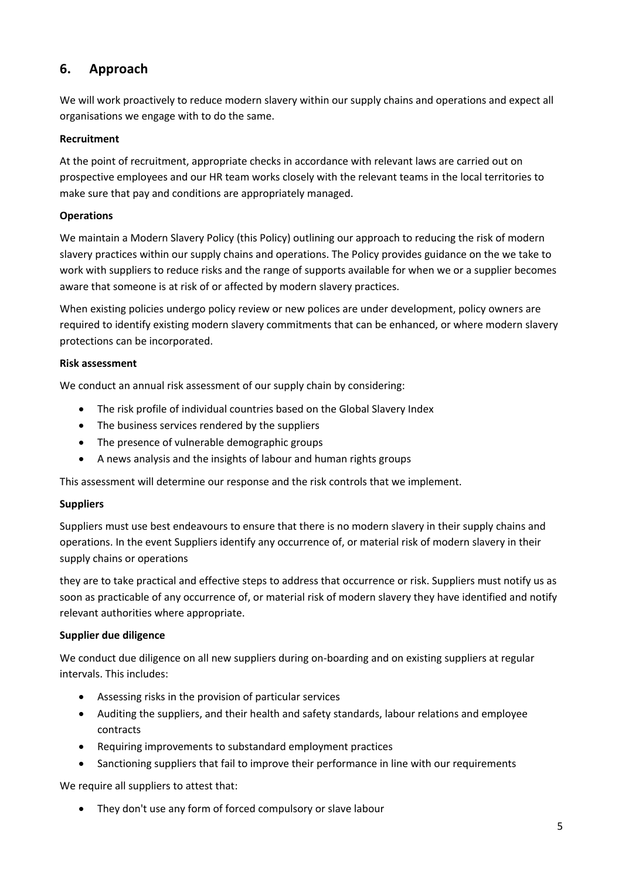# **6. Approach**

We will work proactively to reduce modern slavery within our supply chains and operations and expect all organisations we engage with to do the same.

#### **Recruitment**

At the point of recruitment, appropriate checks in accordance with relevant laws are carried out on prospective employees and our HR team works closely with the relevant teams in the local territories to make sure that pay and conditions are appropriately managed.

#### **Operations**

We maintain a Modern Slavery Policy (this Policy) outlining our approach to reducing the risk of modern slavery practices within our supply chains and operations. The Policy provides guidance on the we take to work with suppliers to reduce risks and the range of supports available for when we or a supplier becomes aware that someone is at risk of or affected by modern slavery practices.

When existing policies undergo policy review or new polices are under development, policy owners are required to identify existing modern slavery commitments that can be enhanced, or where modern slavery protections can be incorporated.

#### **Risk assessment**

We conduct an annual risk assessment of our supply chain by considering:

- The risk profile of individual countries based on the Global Slavery Index
- The business services rendered by the suppliers
- The presence of vulnerable demographic groups
- A news analysis and the insights of labour and human rights groups

This assessment will determine our response and the risk controls that we implement.

#### **Suppliers**

Suppliers must use best endeavours to ensure that there is no modern slavery in their supply chains and operations. In the event Suppliers identify any occurrence of, or material risk of modern slavery in their supply chains or operations

they are to take practical and effective steps to address that occurrence or risk. Suppliers must notify us as soon as practicable of any occurrence of, or material risk of modern slavery they have identified and notify relevant authorities where appropriate.

#### **Supplier due diligence**

We conduct due diligence on all new suppliers during on-boarding and on existing suppliers at regular intervals. This includes:

- Assessing risks in the provision of particular services
- Auditing the suppliers, and their health and safety standards, labour relations and employee contracts
- Requiring improvements to substandard employment practices
- Sanctioning suppliers that fail to improve their performance in line with our requirements

We require all suppliers to attest that:

• They don't use any form of forced compulsory or slave labour